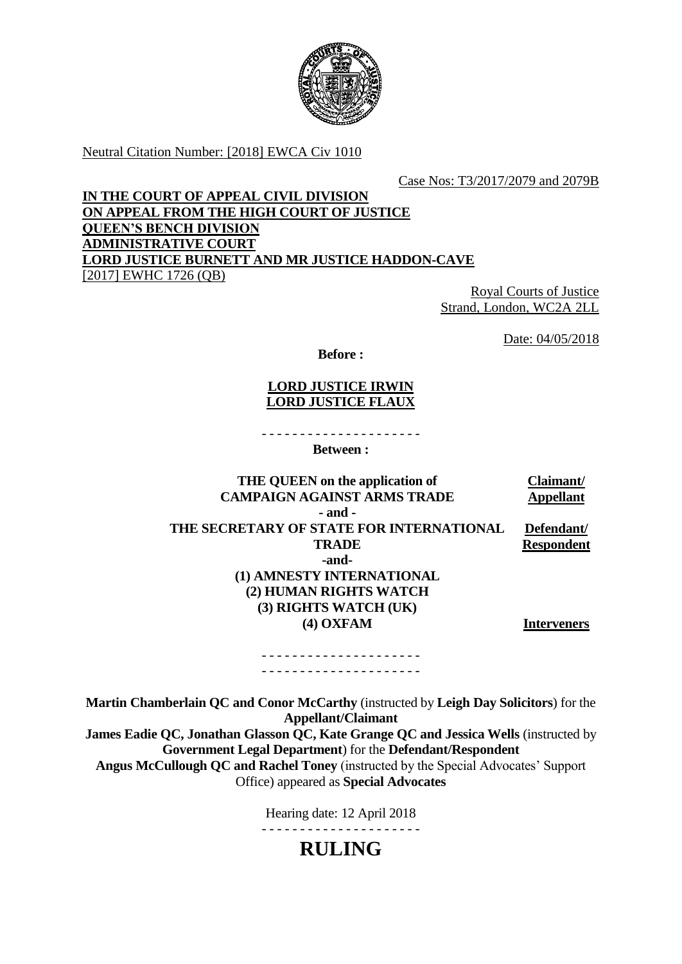

Neutral Citation Number: [2018] EWCA Civ 1010

Case Nos: T3/2017/2079 and 2079B

## **IN THE COURT OF APPEAL CIVIL DIVISION ON APPEAL FROM THE HIGH COURT OF JUSTICE QUEEN'S BENCH DIVISION ADMINISTRATIVE COURT LORD JUSTICE BURNETT AND MR JUSTICE HADDON-CAVE** [2017] EWHC 1726 (QB)

Royal Courts of Justice Strand, London, WC2A 2LL

Date: 04/05/2018

**Before :**

## **LORD JUSTICE IRWIN LORD JUSTICE FLAUX**

- - - - - - - - - - - - - - - - - - - - -

**Between :**

**THE QUEEN on the application of CAMPAIGN AGAINST ARMS TRADE Claimant/ Appellant - and - THE SECRETARY OF STATE FOR INTERNATIONAL TRADE -and- (1) AMNESTY INTERNATIONAL (2) HUMAN RIGHTS WATCH (3) RIGHTS WATCH (UK) (4) OXFAM Defendant/ Respondent Interveners**

- - - - - - - - - - - - - - - - - - - - - - - - - - - - - - - - - - - - - - - - - -

**Martin Chamberlain QC and Conor McCarthy** (instructed by **Leigh Day Solicitors**) for the **Appellant/Claimant**

**James Eadie QC, Jonathan Glasson QC, Kate Grange QC and Jessica Wells** (instructed by **Government Legal Department**) for the **Defendant/Respondent**

**Angus McCullough QC and Rachel Toney** (instructed by the Special Advocates' Support Office) appeared as **Special Advocates**

Hearing date: 12 April 2018

- - - - - - - - - - - - - - - - - - - - -

**RULING**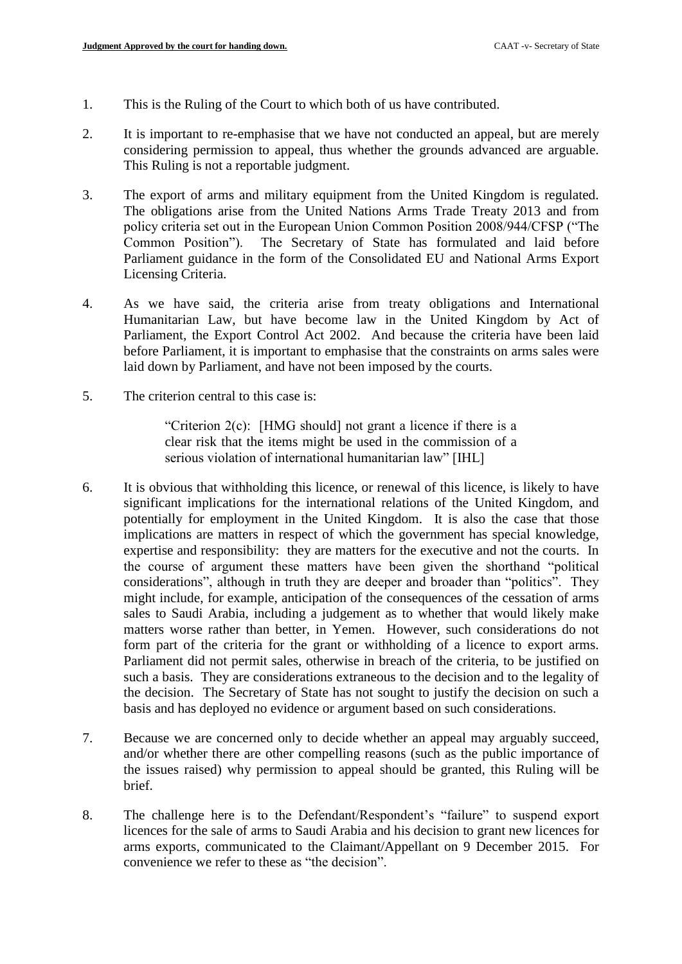- 1. This is the Ruling of the Court to which both of us have contributed.
- 2. It is important to re-emphasise that we have not conducted an appeal, but are merely considering permission to appeal, thus whether the grounds advanced are arguable. This Ruling is not a reportable judgment.
- 3. The export of arms and military equipment from the United Kingdom is regulated. The obligations arise from the United Nations Arms Trade Treaty 2013 and from policy criteria set out in the European Union Common Position 2008/944/CFSP ("The Common Position"). The Secretary of State has formulated and laid before Parliament guidance in the form of the Consolidated EU and National Arms Export Licensing Criteria.
- 4. As we have said, the criteria arise from treaty obligations and International Humanitarian Law, but have become law in the United Kingdom by Act of Parliament, the Export Control Act 2002. And because the criteria have been laid before Parliament, it is important to emphasise that the constraints on arms sales were laid down by Parliament, and have not been imposed by the courts.
- 5. The criterion central to this case is:

"Criterion 2(c): [HMG should] not grant a licence if there is a clear risk that the items might be used in the commission of a serious violation of international humanitarian law" [IHL]

- 6. It is obvious that withholding this licence, or renewal of this licence, is likely to have significant implications for the international relations of the United Kingdom, and potentially for employment in the United Kingdom. It is also the case that those implications are matters in respect of which the government has special knowledge, expertise and responsibility: they are matters for the executive and not the courts. In the course of argument these matters have been given the shorthand "political considerations", although in truth they are deeper and broader than "politics". They might include, for example, anticipation of the consequences of the cessation of arms sales to Saudi Arabia, including a judgement as to whether that would likely make matters worse rather than better, in Yemen. However, such considerations do not form part of the criteria for the grant or withholding of a licence to export arms. Parliament did not permit sales, otherwise in breach of the criteria, to be justified on such a basis. They are considerations extraneous to the decision and to the legality of the decision. The Secretary of State has not sought to justify the decision on such a basis and has deployed no evidence or argument based on such considerations.
- 7. Because we are concerned only to decide whether an appeal may arguably succeed, and/or whether there are other compelling reasons (such as the public importance of the issues raised) why permission to appeal should be granted, this Ruling will be brief.
- 8. The challenge here is to the Defendant/Respondent's "failure" to suspend export licences for the sale of arms to Saudi Arabia and his decision to grant new licences for arms exports, communicated to the Claimant/Appellant on 9 December 2015. For convenience we refer to these as "the decision".